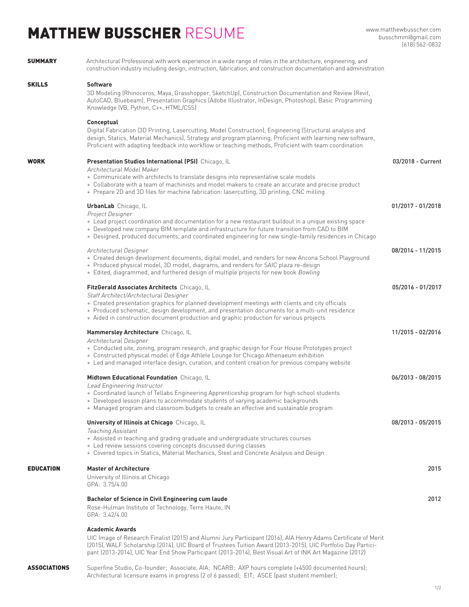## MATTHEW BUSSCHER RESUME

## **SUMMARY** Architectural Professional with work experience in a wide range of roles in the architecture, engineering, and construction industry including design, instruction, fabrication, and construction documentation and administration SKILLS 3D Modeling (Rhinoceros, Maya, Grasshopper, SketchUp), Construction Documentation and Review (Revit, AutoCAD, Bluebeam), Presentation Graphics (Adobe Illustrator, InDesign, Photoshop), Basic Programming Knowledge (VB, Python, C++, HTML/CSS) Digital Fabrication (3D Printing, Lasercutting, Model Construction), Engineering (Structural analysis and design, Statics, Material Mechanics), Strategy and program planning, Proficient with learning new software, Proficient with adapting feedback into workflow or teaching methods, Proficient with team coordination **Software Conceptual UrbanLab** Chicago, IL 01/2017 - 01/2018 Architectural Designer 08/2014 - 11/2015 + Created design development documents, digital model, and renders for new Ancona School Playground + Produced physical model, 3D model, diagrams, and renders for SAIC plaza re-design + Edited, diagrammed, and furthered design of multiple projects for new book Bowling Project Designer + Lead project coordination and documentation for a new restaurant buildout in a unique existing space + Developed new company BIM template and infrastructure for future transition from CAD to BIM + Designed, produced documents, and coordinated engineering for new single-family residences in Chicago **University of Illinois at Chicago** Chicago, IL **08/2015** - 05/2015 - 08/2013 - 05/2015 Teaching Assistant + Assisted in teaching and grading graduate and undergraduate structures courses + Led review sessions covering concepts discussed during classes + Covered topics in Statics, Material Mechanics, Steel and Concrete Analysis and Design **Hammersley Architecture** Chicago, IL 11/2015 - 02/2016 - 11/2015 - 02/2016 Architectural Designer + Conducted site, zoning, program research, and graphic design for Four House Prototypes project + Constructed physical model of Edge Athlete Lounge for Chicago Athenaeum exhibition + Led and managed interface design, curation, and content creation for previous company website **FitzGerald Associates Architects** Chicago, IL 05/2016 - 01/2017 Staff Architect/Architectural Designer + Created presentation graphics for planned development meetings with clients and city officials + Produced schematic, design development, and presentation documents for a multi-unit residence + Aided in construction document production and graphic production for various projects **WORK Presentation Studios International (PSI)** Chicago, IL **03/2018 - Current** Architectural Model Maker + Communicate with architects to translate designs into representative scale models + Collaborate with a team of machinists and model makers to create an accurate and precise product + Prepare 2D and 3D files for machine fabrication: lasercutting, 3D printing, CNC milling **Midtown Educational Foundation** Chicago, IL 06/2015 - 06/2015 - 08/2015 Lead Engineering Instructor + Coordinated launch of Tellabs Engineering Apprenticeship program for high school students + Developed lesson plans to accommodate students of varying academic backgrounds + Managed program and classroom budgets to create an effective and sustainable program EDUCATION **Master of Architecture** 2015 University of Illinois at Chicago GPA: 3.75/4.00 **Bachelor of Science in Civil Engineering cum laude** 2012 Rose-Hulman Institute of Technology, Terre Haute, IN GPA: 3.42/4.00 **Academic Awards** UIC Image of Research Finalist (2015) and Alumni Jury Participant (2016), AIA Henry Adams Certificate of Merit (2015), WALF Scholarship (2014), UIC Board of Trustees Tuition Award (2013-2015), UIC Portfolio Day Partici-

pant (2013-2014), UIC Year End Show Participant (2013-2014), Best Visual Art of INK Art Magazine (2012)

ASSOCIATIONS Superfine Studio, Co-founder; Associate, AIA; NCARB; AXP hours complete (+4500 documented hours); Architectural licensure exams in progress (2 of 6 passed); EIT; ASCE (past student member);